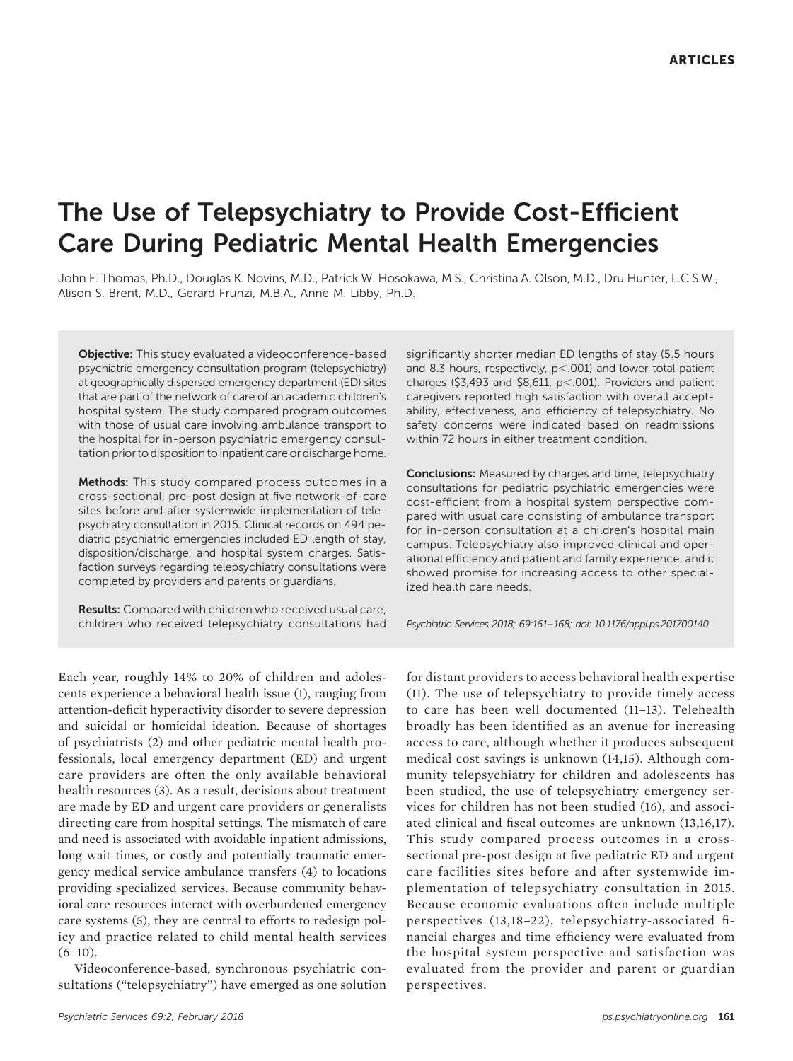# The Use of Telepsychiatry to Provide Cost-Efficient Care During Pediatric Mental Health Emergencies

John F. Thomas, Ph.D., Douglas K. Novins, M.D., Patrick W. Hosokawa, M.S., Christina A. Olson, M.D., Dru Hunter, L.C.S.W., Alison S. Brent, M.D., Gerard Frunzi, M.B.A., Anne M. Libby, Ph.D.

Objective: This study evaluated a videoconference-based psychiatric emergency consultation program (telepsychiatry) at geographically dispersed emergency department (ED) sites that are part of the network of care of an academic children's hospital system. The study compared program outcomes with those of usual care involving ambulance transport to the hospital for in-person psychiatric emergency consultation prior to disposition to inpatient care or discharge home.

Methods: This study compared process outcomes in a cross-sectional, pre-post design at five network-of-care sites before and after systemwide implementation of telepsychiatry consultation in 2015. Clinical records on 494 pediatric psychiatric emergencies included ED length of stay, disposition/discharge, and hospital system charges. Satisfaction surveys regarding telepsychiatry consultations were completed by providers and parents or guardians.

Results: Compared with children who received usual care, children who received telepsychiatry consultations had

Each year, roughly 14% to 20% of children and adolescents experience a behavioral health issue (1), ranging from attention-deficit hyperactivity disorder to severe depression and suicidal or homicidal ideation. Because of shortages of psychiatrists (2) and other pediatric mental health professionals, local emergency department (ED) and urgent care providers are often the only available behavioral health resources (3). As a result, decisions about treatment are made by ED and urgent care providers or generalists directing care from hospital settings. The mismatch of care and need is associated with avoidable inpatient admissions, long wait times, or costly and potentially traumatic emergency medical service ambulance transfers (4) to locations providing specialized services. Because community behavioral care resources interact with overburdened emergency care systems (5), they are central to efforts to redesign policy and practice related to child mental health services  $(6-10)$ .

Videoconference-based, synchronous psychiatric consultations ("telepsychiatry") have emerged as one solution

significantly shorter median ED lengths of stay (5.5 hours and 8.3 hours, respectively,  $p<.001$ ) and lower total patient charges (\$3,493 and \$8,611,  $p<.001$ ). Providers and patient caregivers reported high satisfaction with overall acceptability, effectiveness, and efficiency of telepsychiatry. No safety concerns were indicated based on readmissions within 72 hours in either treatment condition.

Conclusions: Measured by charges and time, telepsychiatry consultations for pediatric psychiatric emergencies were cost-efficient from a hospital system perspective compared with usual care consisting of ambulance transport for in-person consultation at a children's hospital main campus. Telepsychiatry also improved clinical and operational efficiency and patient and family experience, and it showed promise for increasing access to other specialized health care needs.

Psychiatric Services 2018; 69:161–168; doi: 10.1176/appi.ps.201700140

for distant providers to access behavioral health expertise (11). The use of telepsychiatry to provide timely access to care has been well documented (11–13). Telehealth broadly has been identified as an avenue for increasing access to care, although whether it produces subsequent medical cost savings is unknown (14,15). Although community telepsychiatry for children and adolescents has been studied, the use of telepsychiatry emergency services for children has not been studied (16), and associated clinical and fiscal outcomes are unknown (13,16,17). This study compared process outcomes in a crosssectional pre-post design at five pediatric ED and urgent care facilities sites before and after systemwide implementation of telepsychiatry consultation in 2015. Because economic evaluations often include multiple perspectives (13,18–22), telepsychiatry-associated financial charges and time efficiency were evaluated from the hospital system perspective and satisfaction was evaluated from the provider and parent or guardian perspectives.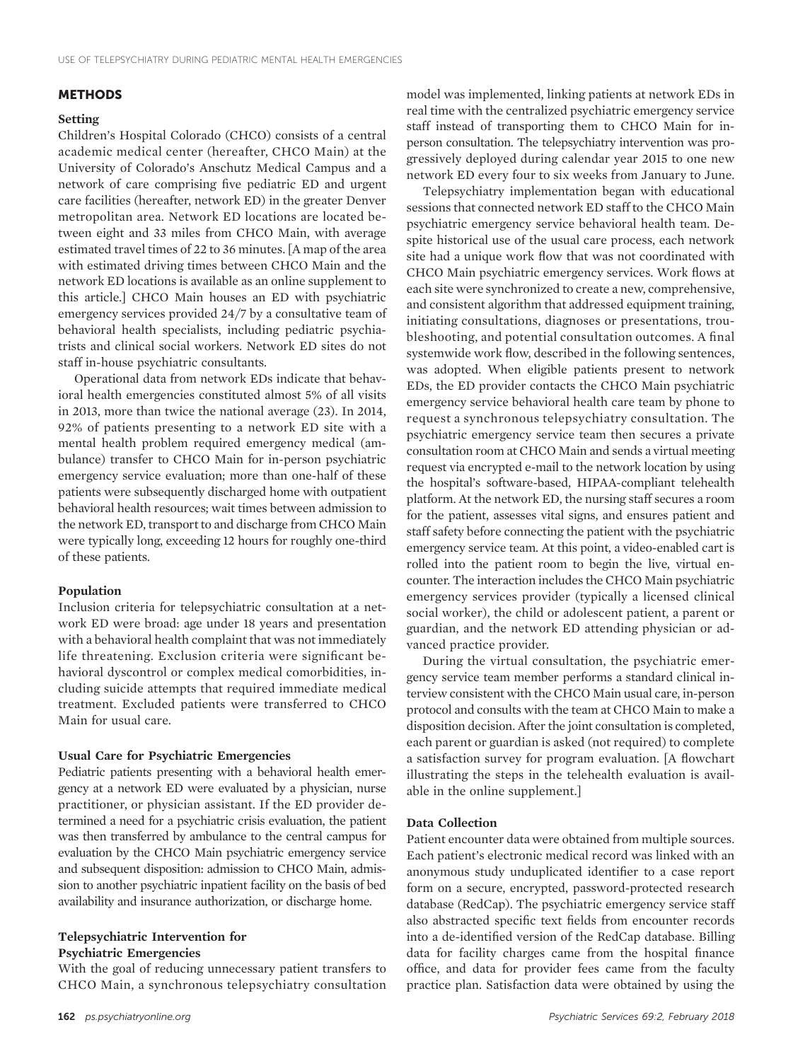#### **METHODS**

#### Setting

Children's Hospital Colorado (CHCO) consists of a central academic medical center (hereafter, CHCO Main) at the University of Colorado's Anschutz Medical Campus and a network of care comprising five pediatric ED and urgent care facilities (hereafter, network ED) in the greater Denver metropolitan area. Network ED locations are located between eight and 33 miles from CHCO Main, with average estimated travel times of 22 to 36 minutes. [A map of the area with estimated driving times between CHCO Main and the network ED locations is available as an online supplement to this article.] CHCO Main houses an ED with psychiatric emergency services provided 24/7 by a consultative team of behavioral health specialists, including pediatric psychiatrists and clinical social workers. Network ED sites do not staff in-house psychiatric consultants.

Operational data from network EDs indicate that behavioral health emergencies constituted almost 5% of all visits in 2013, more than twice the national average (23). In 2014, 92% of patients presenting to a network ED site with a mental health problem required emergency medical (ambulance) transfer to CHCO Main for in-person psychiatric emergency service evaluation; more than one-half of these patients were subsequently discharged home with outpatient behavioral health resources; wait times between admission to the network ED, transport to and discharge from CHCO Main were typically long, exceeding 12 hours for roughly one-third of these patients.

#### Population

Inclusion criteria for telepsychiatric consultation at a network ED were broad: age under 18 years and presentation with a behavioral health complaint that was not immediately life threatening. Exclusion criteria were significant behavioral dyscontrol or complex medical comorbidities, including suicide attempts that required immediate medical treatment. Excluded patients were transferred to CHCO Main for usual care.

#### Usual Care for Psychiatric Emergencies

Pediatric patients presenting with a behavioral health emergency at a network ED were evaluated by a physician, nurse practitioner, or physician assistant. If the ED provider determined a need for a psychiatric crisis evaluation, the patient was then transferred by ambulance to the central campus for evaluation by the CHCO Main psychiatric emergency service and subsequent disposition: admission to CHCO Main, admission to another psychiatric inpatient facility on the basis of bed availability and insurance authorization, or discharge home.

## Telepsychiatric Intervention for Psychiatric Emergencies

With the goal of reducing unnecessary patient transfers to CHCO Main, a synchronous telepsychiatry consultation

model was implemented, linking patients at network EDs in real time with the centralized psychiatric emergency service staff instead of transporting them to CHCO Main for inperson consultation. The telepsychiatry intervention was progressively deployed during calendar year 2015 to one new network ED every four to six weeks from January to June.

Telepsychiatry implementation began with educational sessions that connected network ED staff to the CHCO Main psychiatric emergency service behavioral health team. Despite historical use of the usual care process, each network site had a unique work flow that was not coordinated with CHCO Main psychiatric emergency services. Work flows at each site were synchronized to create a new, comprehensive, and consistent algorithm that addressed equipment training, initiating consultations, diagnoses or presentations, troubleshooting, and potential consultation outcomes. A final systemwide work flow, described in the following sentences, was adopted. When eligible patients present to network EDs, the ED provider contacts the CHCO Main psychiatric emergency service behavioral health care team by phone to request a synchronous telepsychiatry consultation. The psychiatric emergency service team then secures a private consultation room at CHCO Main and sends a virtual meeting request via encrypted e-mail to the network location by using the hospital's software-based, HIPAA-compliant telehealth platform. At the network ED, the nursing staff secures a room for the patient, assesses vital signs, and ensures patient and staff safety before connecting the patient with the psychiatric emergency service team. At this point, a video-enabled cart is rolled into the patient room to begin the live, virtual encounter. The interaction includes the CHCO Main psychiatric emergency services provider (typically a licensed clinical social worker), the child or adolescent patient, a parent or guardian, and the network ED attending physician or advanced practice provider.

During the virtual consultation, the psychiatric emergency service team member performs a standard clinical interview consistent with the CHCO Main usual care, in-person protocol and consults with the team at CHCO Main to make a disposition decision. After the joint consultation is completed, each parent or guardian is asked (not required) to complete a satisfaction survey for program evaluation. [A flowchart illustrating the steps in the telehealth evaluation is available in the online supplement.]

#### Data Collection

Patient encounter data were obtained from multiple sources. Each patient's electronic medical record was linked with an anonymous study unduplicated identifier to a case report form on a secure, encrypted, password-protected research database (RedCap). The psychiatric emergency service staff also abstracted specific text fields from encounter records into a de-identified version of the RedCap database. Billing data for facility charges came from the hospital finance office, and data for provider fees came from the faculty practice plan. Satisfaction data were obtained by using the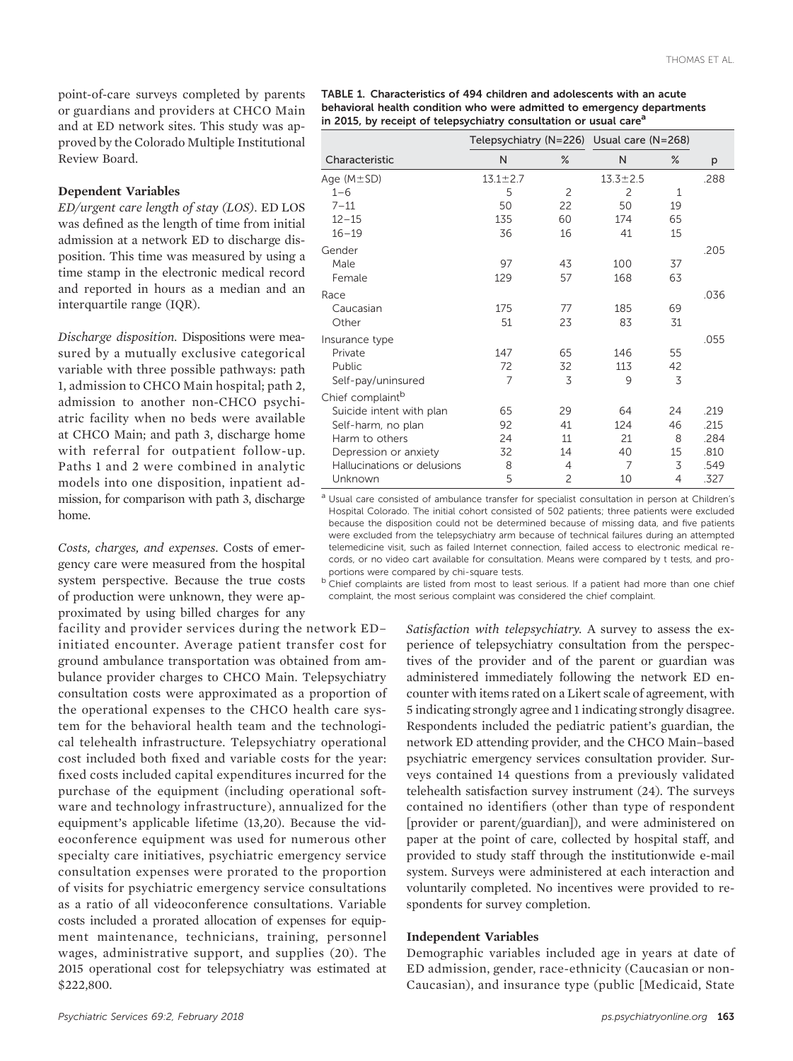point-of-care surveys completed by parents or guardians and providers at CHCO Main and at ED network sites. This study was approved by the Colorado Multiple Institutional Review Board.

#### Dependent Variables

ED/urgent care length of stay (LOS). ED LOS was defined as the length of time from initial admission at a network ED to discharge disposition. This time was measured by using a time stamp in the electronic medical record and reported in hours as a median and an interquartile range (IQR).

Discharge disposition. Dispositions were measured by a mutually exclusive categorical variable with three possible pathways: path 1, admission to CHCO Main hospital; path 2, admission to another non-CHCO psychiatric facility when no beds were available at CHCO Main; and path 3, discharge home with referral for outpatient follow-up. Paths 1 and 2 were combined in analytic models into one disposition, inpatient admission, for comparison with path 3, discharge home.

Costs, charges, and expenses. Costs of emergency care were measured from the hospital system perspective. Because the true costs of production were unknown, they were approximated by using billed charges for any

facility and provider services during the network ED– initiated encounter. Average patient transfer cost for ground ambulance transportation was obtained from ambulance provider charges to CHCO Main. Telepsychiatry consultation costs were approximated as a proportion of the operational expenses to the CHCO health care system for the behavioral health team and the technological telehealth infrastructure. Telepsychiatry operational cost included both fixed and variable costs for the year: fixed costs included capital expenditures incurred for the purchase of the equipment (including operational software and technology infrastructure), annualized for the equipment's applicable lifetime (13,20). Because the videoconference equipment was used for numerous other specialty care initiatives, psychiatric emergency service consultation expenses were prorated to the proportion of visits for psychiatric emergency service consultations as a ratio of all videoconference consultations. Variable costs included a prorated allocation of expenses for equipment maintenance, technicians, training, personnel wages, administrative support, and supplies (20). The 2015 operational cost for telepsychiatry was estimated at \$222,800.

| TABLE 1. Characteristics of 494 children and adolescents with an acute        |
|-------------------------------------------------------------------------------|
| behavioral health condition who were admitted to emergency departments        |
| in 2015, by receipt of telepsychiatry consultation or usual care <sup>a</sup> |

|                              | Telepsychiatry (N=226) Usual care (N=268) |                |                |      |      |
|------------------------------|-------------------------------------------|----------------|----------------|------|------|
| Characteristic               | N                                         | $\%$           | N              | $\%$ | р    |
| Age $(M \pm SD)$             | $13.1 \pm 2.7$                            |                | $13.3 \pm 2.5$ |      | .288 |
| $1 - 6$                      | 5                                         | 2              | $\overline{c}$ | 1    |      |
| $7 - 11$                     | 50                                        | 22             | 50             | 19   |      |
| $12 - 15$                    | 135                                       | 60             | 174            | 65   |      |
| $16 - 19$                    | 36                                        | 16             | 41             | 15   |      |
| Gender                       |                                           |                |                |      | .205 |
| Male                         | 97                                        | 43             | 100            | 37   |      |
| Female                       | 129                                       | 57             | 168            | 63   |      |
| Race                         |                                           |                |                |      | .036 |
| Caucasian                    | 175                                       | 77             | 185            | 69   |      |
| Other                        | 51                                        | 23             | 83             | 31   |      |
| Insurance type               |                                           |                |                |      | .055 |
| Private                      | 147                                       | 65             | 146            | 55   |      |
| Public                       | 72                                        | 32             | 113            | 42   |      |
| Self-pay/uninsured           | 7                                         | 3              | 9              | 3    |      |
| Chief complaint <sup>b</sup> |                                           |                |                |      |      |
| Suicide intent with plan     | 65                                        | 29             | 64             | 24   | .219 |
| Self-harm, no plan           | 92                                        | 41             | 124            | 46   | .215 |
| Harm to others               | 24                                        | 11             | 21             | 8    | .284 |
| Depression or anxiety        | 32                                        | 14             | 40             | 15   | .810 |
| Hallucinations or delusions  | 8                                         | $\overline{4}$ | 7              | 3    | .549 |
| Unknown                      | 5                                         | $\overline{c}$ | 10             | 4    | .327 |

<sup>a</sup> Usual care consisted of ambulance transfer for specialist consultation in person at Children's Hospital Colorado. The initial cohort consisted of 502 patients; three patients were excluded because the disposition could not be determined because of missing data, and five patients were excluded from the telepsychiatry arm because of technical failures during an attempted telemedicine visit, such as failed Internet connection, failed access to electronic medical records, or no video cart available for consultation. Means were compared by t tests, and proportions were compared by chi-square tests.

b Chief complaints are listed from most to least serious. If a patient had more than one chief complaint, the most serious complaint was considered the chief complaint.

> Satisfaction with telepsychiatry. A survey to assess the experience of telepsychiatry consultation from the perspectives of the provider and of the parent or guardian was administered immediately following the network ED encounter with items rated on a Likert scale of agreement, with 5 indicating strongly agree and 1 indicating strongly disagree. Respondents included the pediatric patient's guardian, the network ED attending provider, and the CHCO Main–based psychiatric emergency services consultation provider. Surveys contained 14 questions from a previously validated telehealth satisfaction survey instrument (24). The surveys contained no identifiers (other than type of respondent [provider or parent/guardian]), and were administered on paper at the point of care, collected by hospital staff, and provided to study staff through the institutionwide e-mail system. Surveys were administered at each interaction and voluntarily completed. No incentives were provided to respondents for survey completion.

#### Independent Variables

Demographic variables included age in years at date of ED admission, gender, race-ethnicity (Caucasian or non-Caucasian), and insurance type (public [Medicaid, State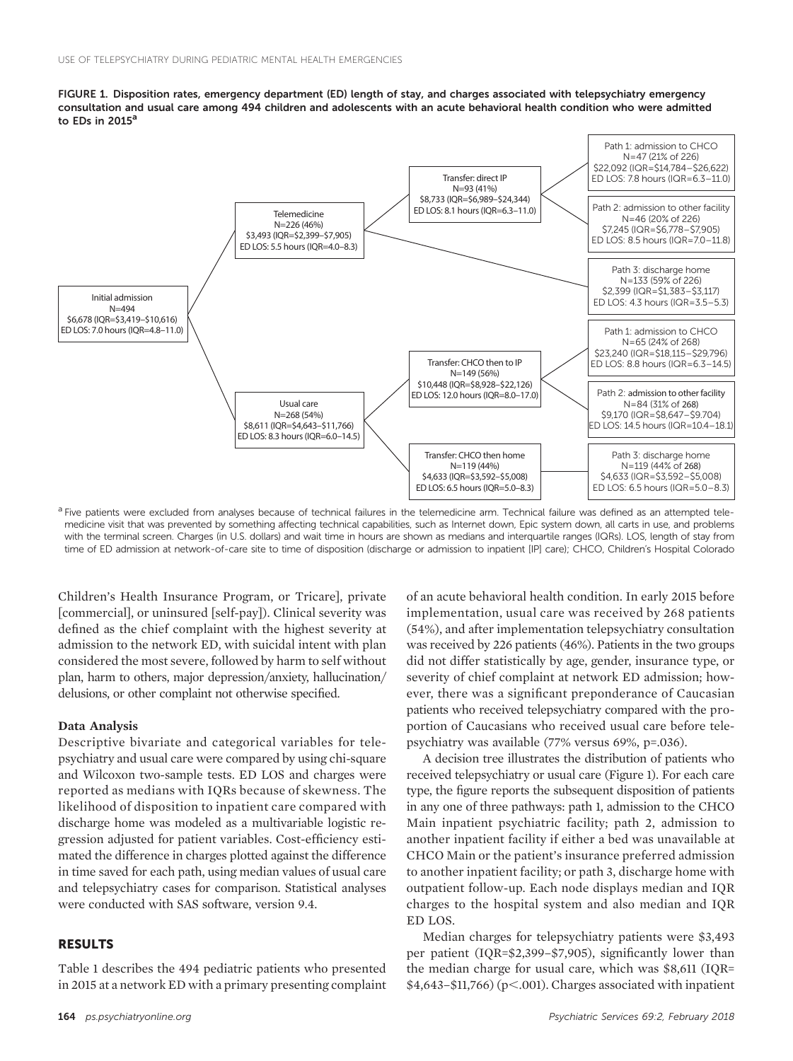



a Five patients were excluded from analyses because of technical failures in the telemedicine arm. Technical failure was defined as an attempted telemedicine visit that was prevented by something affecting technical capabilities, such as Internet down, Epic system down, all carts in use, and problems with the terminal screen. Charges (in U.S. dollars) and wait time in hours are shown as medians and interquartile ranges (IQRs). LOS, length of stay from time of ED admission at network-of-care site to time of disposition (discharge or admission to inpatient [IP] care); CHCO, Children's Hospital Colorado

Children's Health Insurance Program, or Tricare], private [commercial], or uninsured [self-pay]). Clinical severity was defined as the chief complaint with the highest severity at admission to the network ED, with suicidal intent with plan considered the most severe, followed by harm to self without plan, harm to others, major depression/anxiety, hallucination/ delusions, or other complaint not otherwise specified.

#### Data Analysis

Descriptive bivariate and categorical variables for telepsychiatry and usual care were compared by using chi-square and Wilcoxon two-sample tests. ED LOS and charges were reported as medians with IQRs because of skewness. The likelihood of disposition to inpatient care compared with discharge home was modeled as a multivariable logistic regression adjusted for patient variables. Cost-efficiency estimated the difference in charges plotted against the difference in time saved for each path, using median values of usual care and telepsychiatry cases for comparison. Statistical analyses were conducted with SAS software, version 9.4.

#### RESULTS

Table 1 describes the 494 pediatric patients who presented in 2015 at a network ED with a primary presenting complaint

of an acute behavioral health condition. In early 2015 before implementation, usual care was received by 268 patients (54%), and after implementation telepsychiatry consultation was received by 226 patients (46%). Patients in the two groups did not differ statistically by age, gender, insurance type, or severity of chief complaint at network ED admission; however, there was a significant preponderance of Caucasian patients who received telepsychiatry compared with the proportion of Caucasians who received usual care before telepsychiatry was available (77% versus 69%, p=.036).

A decision tree illustrates the distribution of patients who received telepsychiatry or usual care (Figure 1). For each care type, the figure reports the subsequent disposition of patients in any one of three pathways: path 1, admission to the CHCO Main inpatient psychiatric facility; path 2, admission to another inpatient facility if either a bed was unavailable at CHCO Main or the patient's insurance preferred admission to another inpatient facility; or path 3, discharge home with outpatient follow-up. Each node displays median and IQR charges to the hospital system and also median and IQR ED LOS.

Median charges for telepsychiatry patients were \$3,493 per patient (IQR=\$2,399–\$7,905), significantly lower than the median charge for usual care, which was \$8,611 (IQR=  $$4,643–$11,766$  (p<.001). Charges associated with inpatient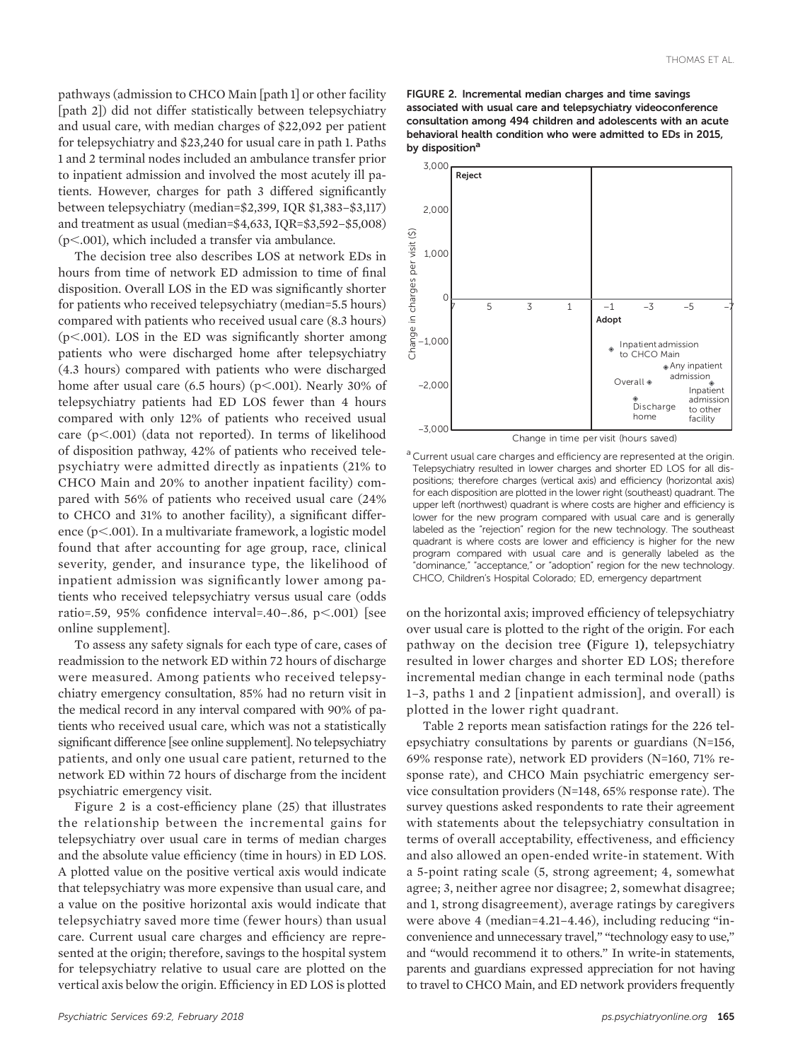pathways (admission to CHCO Main [path 1] or other facility [path 2]) did not differ statistically between telepsychiatry and usual care, with median charges of \$22,092 per patient for telepsychiatry and \$23,240 for usual care in path 1. Paths 1 and 2 terminal nodes included an ambulance transfer prior to inpatient admission and involved the most acutely ill patients. However, charges for path 3 differed significantly between telepsychiatry (median=\$2,399, IQR \$1,383–\$3,117) and treatment as usual (median=\$4,633, IQR=\$3,592–\$5,008)  $(p<.001)$ , which included a transfer via ambulance.

The decision tree also describes LOS at network EDs in hours from time of network ED admission to time of final disposition. Overall LOS in the ED was significantly shorter for patients who received telepsychiatry (median=5.5 hours) compared with patients who received usual care (8.3 hours) ( $p$ <.001). LOS in the ED was significantly shorter among patients who were discharged home after telepsychiatry (4.3 hours) compared with patients who were discharged home after usual care  $(6.5 \text{ hours})$   $(p<.001)$ . Nearly 30% of telepsychiatry patients had ED LOS fewer than 4 hours compared with only 12% of patients who received usual care  $(p<.001)$  (data not reported). In terms of likelihood of disposition pathway, 42% of patients who received telepsychiatry were admitted directly as inpatients (21% to CHCO Main and 20% to another inpatient facility) compared with 56% of patients who received usual care (24% to CHCO and 31% to another facility), a significant difference  $(p<.001)$ . In a multivariate framework, a logistic model found that after accounting for age group, race, clinical severity, gender, and insurance type, the likelihood of inpatient admission was significantly lower among patients who received telepsychiatry versus usual care (odds ratio=.59, 95% confidence interval=.40-.86, p<.001) [see online supplement].

To assess any safety signals for each type of care, cases of readmission to the network ED within 72 hours of discharge were measured. Among patients who received telepsychiatry emergency consultation, 85% had no return visit in the medical record in any interval compared with 90% of patients who received usual care, which was not a statistically significant difference [see online supplement]. No telepsychiatry patients, and only one usual care patient, returned to the network ED within 72 hours of discharge from the incident psychiatric emergency visit.

Figure 2 is a cost-efficiency plane (25) that illustrates the relationship between the incremental gains for telepsychiatry over usual care in terms of median charges and the absolute value efficiency (time in hours) in ED LOS. A plotted value on the positive vertical axis would indicate that telepsychiatry was more expensive than usual care, and a value on the positive horizontal axis would indicate that telepsychiatry saved more time (fewer hours) than usual care. Current usual care charges and efficiency are represented at the origin; therefore, savings to the hospital system for telepsychiatry relative to usual care are plotted on the vertical axis below the origin. Efficiency in ED LOS is plotted





<sup>a</sup> Current usual care charges and efficiency are represented at the origin. Telepsychiatry resulted in lower charges and shorter ED LOS for all dispositions; therefore charges (vertical axis) and efficiency (horizontal axis) for each disposition are plotted in the lower right (southeast) quadrant. The upper left (northwest) quadrant is where costs are higher and efficiency is lower for the new program compared with usual care and is generally labeled as the "rejection" region for the new technology. The southeast quadrant is where costs are lower and efficiency is higher for the new program compared with usual care and is generally labeled as the "dominance," "acceptance," or "adoption" region for the new technology. CHCO, Children's Hospital Colorado; ED, emergency department

on the horizontal axis; improved efficiency of telepsychiatry over usual care is plotted to the right of the origin. For each pathway on the decision tree (Figure 1), telepsychiatry resulted in lower charges and shorter ED LOS; therefore incremental median change in each terminal node (paths 1–3, paths 1 and 2 [inpatient admission], and overall) is plotted in the lower right quadrant.

Table 2 reports mean satisfaction ratings for the 226 telepsychiatry consultations by parents or guardians (N=156, 69% response rate), network ED providers (N=160, 71% response rate), and CHCO Main psychiatric emergency service consultation providers (N=148, 65% response rate). The survey questions asked respondents to rate their agreement with statements about the telepsychiatry consultation in terms of overall acceptability, effectiveness, and efficiency and also allowed an open-ended write-in statement. With a 5-point rating scale (5, strong agreement; 4, somewhat agree; 3, neither agree nor disagree; 2, somewhat disagree; and 1, strong disagreement), average ratings by caregivers were above 4 (median=4.21–4.46), including reducing "inconvenience and unnecessary travel," "technology easy to use," and "would recommend it to others." In write-in statements, parents and guardians expressed appreciation for not having to travel to CHCO Main, and ED network providers frequently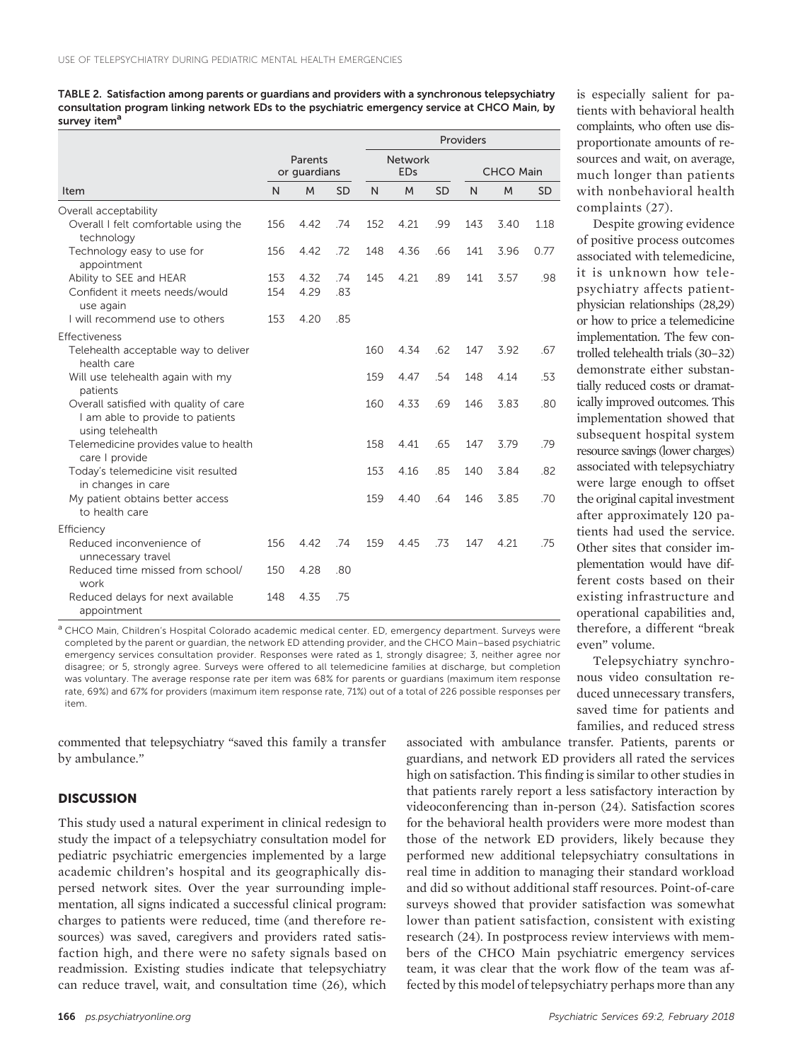TABLE 2. Satisfaction among parents or guardians and providers with a synchronous telepsychiatry consultation program linking network EDs to the psychiatric emergency service at CHCO Main, by survey item<sup>a</sup>

|                                                                                                |     |                         |           | Providers                    |      |                  |     |      |           |
|------------------------------------------------------------------------------------------------|-----|-------------------------|-----------|------------------------------|------|------------------|-----|------|-----------|
|                                                                                                |     | Parents<br>or guardians |           | <b>Network</b><br><b>EDs</b> |      | <b>CHCO Main</b> |     |      |           |
| Item                                                                                           | N   | M                       | <b>SD</b> | N                            | M    | <b>SD</b>        | N   | M    | <b>SD</b> |
| Overall acceptability                                                                          |     |                         |           |                              |      |                  |     |      |           |
| Overall I felt comfortable using the<br>technology                                             | 156 | 4.42                    | .74       | 152                          | 4.21 | .99              | 143 | 3.40 | 1.18      |
| Technology easy to use for<br>appointment                                                      | 156 | 4.42                    | .72       | 148                          | 4.36 | .66              | 141 | 3.96 | 0.77      |
| Ability to SEE and HEAR                                                                        | 153 | 4.32                    | .74       | 145                          | 4.21 | .89              | 141 | 3.57 | .98       |
| Confident it meets needs/would<br>use again                                                    | 154 | 4.29                    | .83       |                              |      |                  |     |      |           |
| I will recommend use to others                                                                 | 153 | 4.20                    | .85       |                              |      |                  |     |      |           |
| Effectiveness                                                                                  |     |                         |           |                              |      |                  |     |      |           |
| Telehealth acceptable way to deliver<br>health care                                            |     |                         |           | 160                          | 4.34 | .62              | 147 | 3.92 | .67       |
| Will use telehealth again with my<br>patients                                                  |     |                         |           | 159                          | 4.47 | .54              | 148 | 4.14 | .53       |
| Overall satisfied with quality of care<br>I am able to provide to patients<br>using telehealth |     |                         |           | 160                          | 4.33 | .69              | 146 | 3.83 | .80       |
| Telemedicine provides value to health<br>care I provide                                        |     |                         |           | 158                          | 4.41 | .65              | 147 | 3.79 | .79       |
| Today's telemedicine visit resulted<br>in changes in care                                      |     |                         |           | 153                          | 4.16 | .85              | 140 | 3.84 | .82       |
| My patient obtains better access<br>to health care                                             |     |                         |           | 159                          | 4.40 | .64              | 146 | 3.85 | .70       |
| Efficiency                                                                                     |     |                         |           |                              |      |                  |     |      |           |
| Reduced inconvenience of<br>unnecessary travel                                                 | 156 | 4.42                    | .74       | 159                          | 4.45 | .73              | 147 | 4.21 | .75       |
| Reduced time missed from school/<br>work                                                       | 150 | 4.28                    | .80       |                              |      |                  |     |      |           |
| Reduced delays for next available<br>appointment                                               | 148 | 4.35                    | .75       |                              |      |                  |     |      |           |

a CHCO Main, Children's Hospital Colorado academic medical center. ED, emergency department. Surveys were completed by the parent or guardian, the network ED attending provider, and the CHCO Main–based psychiatric emergency services consultation provider. Responses were rated as 1, strongly disagree; 3, neither agree nor disagree; or 5, strongly agree. Surveys were offered to all telemedicine families at discharge, but completion was voluntary. The average response rate per item was 68% for parents or guardians (maximum item response rate, 69%) and 67% for providers (maximum item response rate, 71%) out of a total of 226 possible responses per item.

commented that telepsychiatry "saved this family a transfer by ambulance."

#### **DISCUSSION**

This study used a natural experiment in clinical redesign to study the impact of a telepsychiatry consultation model for pediatric psychiatric emergencies implemented by a large academic children's hospital and its geographically dispersed network sites. Over the year surrounding implementation, all signs indicated a successful clinical program: charges to patients were reduced, time (and therefore resources) was saved, caregivers and providers rated satisfaction high, and there were no safety signals based on readmission. Existing studies indicate that telepsychiatry can reduce travel, wait, and consultation time (26), which

is especially salient for patients with behavioral health complaints, who often use disproportionate amounts of resources and wait, on average, much longer than patients with nonbehavioral health complaints (27).

Despite growing evidence of positive process outcomes associated with telemedicine, it is unknown how telepsychiatry affects patientphysician relationships (28,29) or how to price a telemedicine implementation. The few controlled telehealth trials (30–32) demonstrate either substantially reduced costs or dramatically improved outcomes. This implementation showed that subsequent hospital system resource savings (lower charges) associated with telepsychiatry were large enough to offset the original capital investment after approximately 120 patients had used the service. Other sites that consider implementation would have different costs based on their existing infrastructure and operational capabilities and, therefore, a different "break even" volume.

Telepsychiatry synchronous video consultation reduced unnecessary transfers, saved time for patients and families, and reduced stress

associated with ambulance transfer. Patients, parents or guardians, and network ED providers all rated the services high on satisfaction. This finding is similar to other studies in that patients rarely report a less satisfactory interaction by videoconferencing than in-person (24). Satisfaction scores for the behavioral health providers were more modest than those of the network ED providers, likely because they performed new additional telepsychiatry consultations in real time in addition to managing their standard workload and did so without additional staff resources. Point-of-care surveys showed that provider satisfaction was somewhat lower than patient satisfaction, consistent with existing research (24). In postprocess review interviews with members of the CHCO Main psychiatric emergency services team, it was clear that the work flow of the team was affected by this model of telepsychiatry perhaps more than any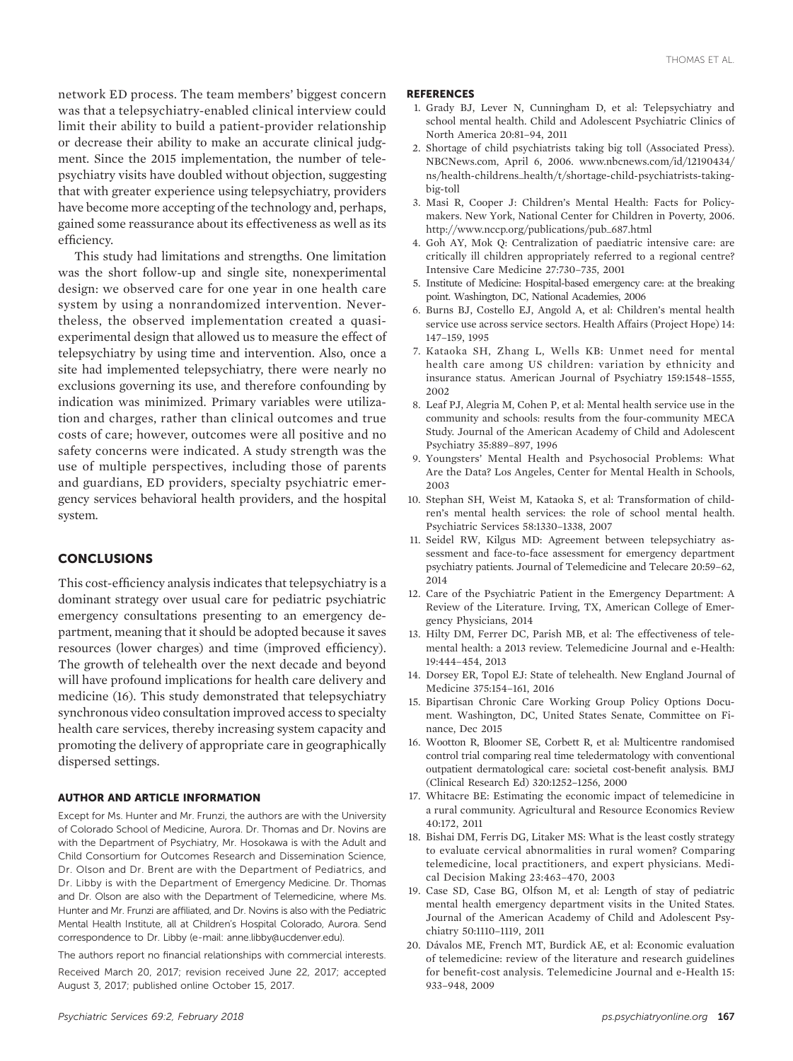network ED process. The team members' biggest concern was that a telepsychiatry-enabled clinical interview could limit their ability to build a patient-provider relationship or decrease their ability to make an accurate clinical judgment. Since the 2015 implementation, the number of telepsychiatry visits have doubled without objection, suggesting that with greater experience using telepsychiatry, providers have become more accepting of the technology and, perhaps, gained some reassurance about its effectiveness as well as its efficiency.

This study had limitations and strengths. One limitation was the short follow-up and single site, nonexperimental design: we observed care for one year in one health care system by using a nonrandomized intervention. Nevertheless, the observed implementation created a quasiexperimental design that allowed us to measure the effect of telepsychiatry by using time and intervention. Also, once a site had implemented telepsychiatry, there were nearly no exclusions governing its use, and therefore confounding by indication was minimized. Primary variables were utilization and charges, rather than clinical outcomes and true costs of care; however, outcomes were all positive and no safety concerns were indicated. A study strength was the use of multiple perspectives, including those of parents and guardians, ED providers, specialty psychiatric emergency services behavioral health providers, and the hospital system.

## CONCLUSIONS

This cost-efficiency analysis indicates that telepsychiatry is a dominant strategy over usual care for pediatric psychiatric emergency consultations presenting to an emergency department, meaning that it should be adopted because it saves resources (lower charges) and time (improved efficiency). The growth of telehealth over the next decade and beyond will have profound implications for health care delivery and medicine (16). This study demonstrated that telepsychiatry synchronous video consultation improved access to specialty health care services, thereby increasing system capacity and promoting the delivery of appropriate care in geographically dispersed settings.

#### AUTHOR AND ARTICLE INFORMATION

Except for Ms. Hunter and Mr. Frunzi, the authors are with the University of Colorado School of Medicine, Aurora. Dr. Thomas and Dr. Novins are with the Department of Psychiatry, Mr. Hosokawa is with the Adult and Child Consortium for Outcomes Research and Dissemination Science, Dr. Olson and Dr. Brent are with the Department of Pediatrics, and Dr. Libby is with the Department of Emergency Medicine. Dr. Thomas and Dr. Olson are also with the Department of Telemedicine, where Ms. Hunter and Mr. Frunzi are affiliated, and Dr. Novins is also with the Pediatric Mental Health Institute, all at Children's Hospital Colorado, Aurora. Send correspondence to Dr. Libby (e-mail: [anne.libby@ucdenver.edu\)](mailto:anne.libby@ucdenver.edu).

The authors report no financial relationships with commercial interests.

Received March 20, 2017; revision received June 22, 2017; accepted August 3, 2017; published online October 15, 2017.

#### **REFERENCES**

- 1. Grady BJ, Lever N, Cunningham D, et al: Telepsychiatry and school mental health. Child and Adolescent Psychiatric Clinics of North America 20:81–94, 2011
- 2. Shortage of child psychiatrists taking big toll (Associated Press). NBCNews.com, April 6, 2006. [www.nbcnews.com/id/12190434/](http://www.nbcnews.com/id/12190434/ns/health-childrens_health/t/shortage-child-psychiatrists-taking-big-toll) [ns/health-childrens\\_health/t/shortage-child-psychiatrists-taking](http://www.nbcnews.com/id/12190434/ns/health-childrens_health/t/shortage-child-psychiatrists-taking-big-toll)[big-toll](http://www.nbcnews.com/id/12190434/ns/health-childrens_health/t/shortage-child-psychiatrists-taking-big-toll)
- 3. Masi R, Cooper J: Children's Mental Health: Facts for Policymakers. New York, National Center for Children in Poverty, 2006. http://www.nccp.org/publications/pub\_687.html
- 4. Goh AY, Mok Q: Centralization of paediatric intensive care: are critically ill children appropriately referred to a regional centre? Intensive Care Medicine 27:730–735, 2001
- 5. Institute of Medicine: Hospital-based emergency care: at the breaking point. Washington, DC, National Academies, 2006
- 6. Burns BJ, Costello EJ, Angold A, et al: Children's mental health service use across service sectors. Health Affairs (Project Hope) 14: 147–159, 1995
- 7. Kataoka SH, Zhang L, Wells KB: Unmet need for mental health care among US children: variation by ethnicity and insurance status. American Journal of Psychiatry 159:1548–1555, 2002
- 8. Leaf PJ, Alegria M, Cohen P, et al: Mental health service use in the community and schools: results from the four-community MECA Study. Journal of the American Academy of Child and Adolescent Psychiatry 35:889–897, 1996
- 9. Youngsters' Mental Health and Psychosocial Problems: What Are the Data? Los Angeles, Center for Mental Health in Schools, 2003
- 10. Stephan SH, Weist M, Kataoka S, et al: Transformation of children's mental health services: the role of school mental health. Psychiatric Services 58:1330–1338, 2007
- 11. Seidel RW, Kilgus MD: Agreement between telepsychiatry assessment and face-to-face assessment for emergency department psychiatry patients. Journal of Telemedicine and Telecare 20:59–62, 2014
- 12. Care of the Psychiatric Patient in the Emergency Department: A Review of the Literature. Irving, TX, American College of Emergency Physicians, 2014
- 13. Hilty DM, Ferrer DC, Parish MB, et al: The effectiveness of telemental health: a 2013 review. Telemedicine Journal and e-Health: 19:444–454, 2013
- 14. Dorsey ER, Topol EJ: State of telehealth. New England Journal of Medicine 375:154–161, 2016
- 15. Bipartisan Chronic Care Working Group Policy Options Document. Washington, DC, United States Senate, Committee on Finance, Dec 2015
- 16. Wootton R, Bloomer SE, Corbett R, et al: Multicentre randomised control trial comparing real time teledermatology with conventional outpatient dermatological care: societal cost-benefit analysis. BMJ (Clinical Research Ed) 320:1252–1256, 2000
- 17. Whitacre BE: Estimating the economic impact of telemedicine in a rural community. Agricultural and Resource Economics Review 40:172, 2011
- 18. Bishai DM, Ferris DG, Litaker MS: What is the least costly strategy to evaluate cervical abnormalities in rural women? Comparing telemedicine, local practitioners, and expert physicians. Medical Decision Making 23:463–470, 2003
- 19. Case SD, Case BG, Olfson M, et al: Length of stay of pediatric mental health emergency department visits in the United States. Journal of the American Academy of Child and Adolescent Psychiatry 50:1110–1119, 2011
- 20. Dávalos ME, French MT, Burdick AE, et al: Economic evaluation of telemedicine: review of the literature and research guidelines for benefit-cost analysis. Telemedicine Journal and e-Health 15: 933–948, 2009